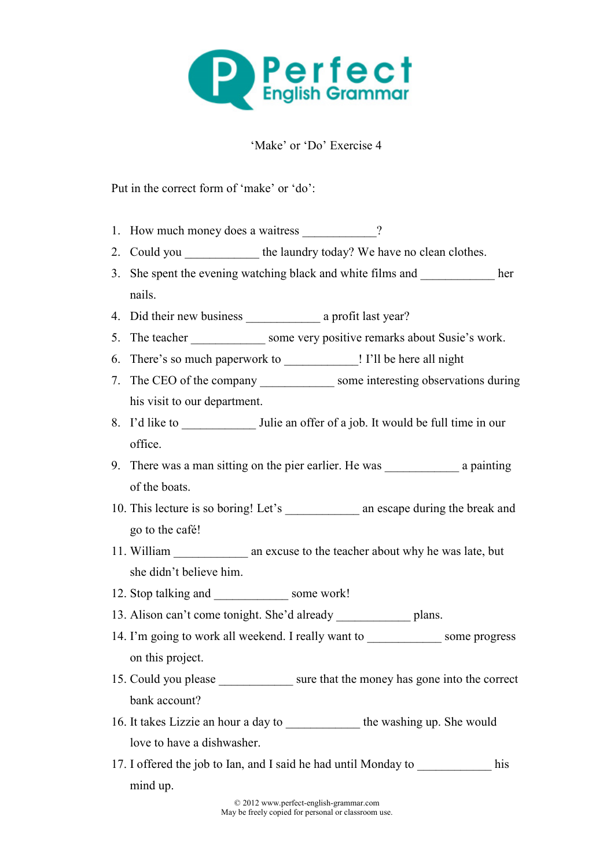

'Make' or 'Do' Exercise 4

Put in the correct form of 'make' or 'do':

- 1. How much money does a waitress  $\frac{1}{2}$ ?
- 2. Could you the laundry today? We have no clean clothes.
- 3. She spent the evening watching black and white films and  $\Box$ nails.
- 4. Did their new business a profit last year?
- 5. The teacher some very positive remarks about Susie's work.
- 6. There's so much paperwork to \_\_\_\_\_\_\_\_\_\_\_\_! I'll be here all night
- 7. The CEO of the company some interesting observations during his visit to our department.
- 8. I'd like to Julie an offer of a job. It would be full time in our office.
- 9. There was a man sitting on the pier earlier. He was \_\_\_\_\_\_\_\_\_\_\_\_ a painting of the boats.
- 10. This lecture is so boring! Let's an escape during the break and go to the café!
- 11. William an excuse to the teacher about why he was late, but she didn't believe him.
- 12. Stop talking and some work!
- 13. Alison can't come tonight. She'd already plans.
- 14. I'm going to work all weekend. I really want to some progress on this project.
- 15. Could you please sure that the money has gone into the correct bank account?
- 16. It takes Lizzie an hour a day to the washing up. She would love to have a dishwasher.
- 17. I offered the job to Ian, and I said he had until Monday to his mind up.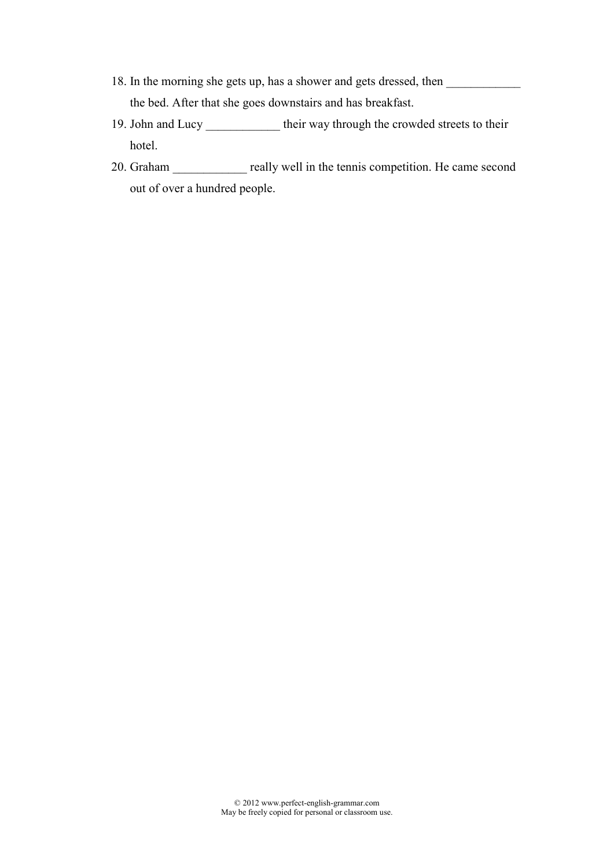- 18. In the morning she gets up, has a shower and gets dressed, then the bed. After that she goes downstairs and has breakfast.
- 19. John and Lucy \_\_\_\_\_\_\_\_\_\_\_\_ their way through the crowded streets to their hotel.
- 20. Graham \_\_\_\_\_\_\_\_\_\_\_\_ really well in the tennis competition. He came second out of over a hundred people.